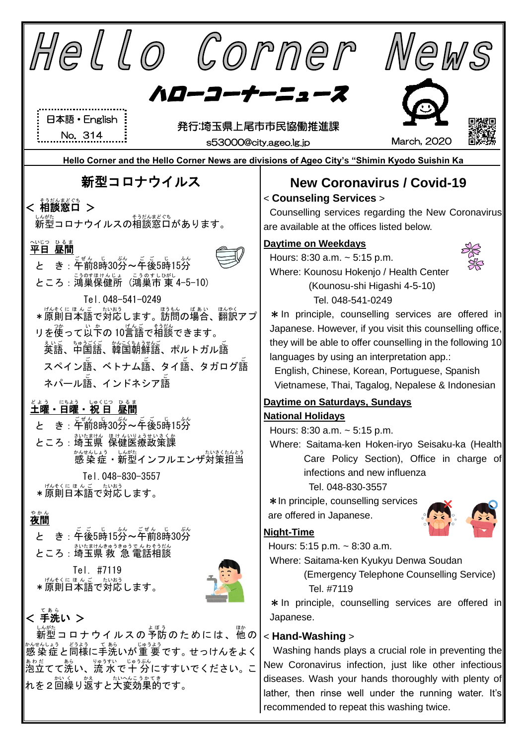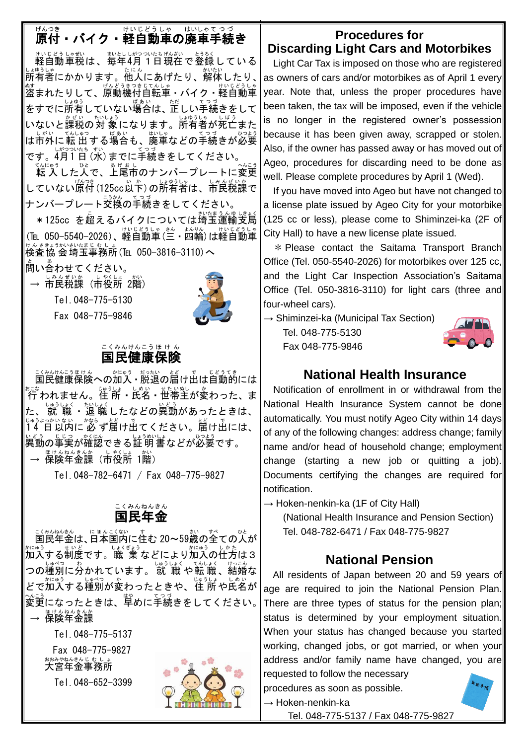# <sub>げんつき</sub><br>**原付・バイク・軽自動車の廃車手続き**

<sub>けいじどうしゃぜい。 まとしがつかたげんざい とうろく<br>軽自動車税は、毎年4月1日現在で登録している</sub> ↓☆ぅしゃ。<br>所有者にかかります。他人にあげたり、解体したり、│ \*\*<br>盗まれたりして、原動機付自転車・バイク・軽自動車 をすでに所有していない場合は、正しい手続きをして いないと課税の対 象になります。所有者が死亡また は市外に転出する場合も、廃車などの手続きが必要 です。4月1日 (水) までに手続きをしてください。

てんにゅう<br>転 入 した人で、上尾市のナンバープレートに変更 していない<sup>協?き</sup> (125cc以下)の所有者は、市民税課で <sub>ナンバープレート交換の手続きをしてください。</sub>

\* 125cc を超えるバイクについては埼玉運輸支局 (TEL 050-5540-2026)、軽自動車(三・四輪)は軽自動車 はんきまうかいなまにもしょ。<br>検査協会埼玉事務所(Tel 050-3816-3110)へ

問 と い合 あ わせてください。

→ 市民税課(市役所 2階)

Tel.048-775-5130 Fax 048-775-9846



#### 国民 健康 保険 こくみん けんこう ほ け ん

こ殺防己馬はんの加入・脱退の届け出は自動的には 行 おこな われません。住 所 じゅうしょ ・氏名 しめい ・世帯 せたい 主 ぬし が変 か わった、ま た、 就 職 ・退 職 したなどの異動があったときは、<br>た、 就 職 ・退 職 したなどの異動があったときは、 <u>ゖゅぅょっゕぃぉぃ゠ゕぉ</u>。<br>14 日以内に 必 ず届け出てください。届け出には、 異動 いどう の事実 じじつ が確認 かくにん できる証明書 しょうめいしょ などが必要 ひつよう です。 → 保険年金課(市役所 1階)

Tel.048-782-6471 / Fax 048-775-9827

#### 国民 年金 こくみん ねんきん

- <u>くみねんきん</u> (『まんこくない』すむ 20~59歳の全ての人が<br>国民年金は、日本国内に住む 20~59歳の全ての人が 加入 かにゅう する制度 せいど です。職 業 しょくぎょう などにより加入 かにゅう の仕方 しかた は3 つの種別に分かれています。 就 職 や転 職 、結婚な どで加入する種別が変わったときや、住 所 や氏名が 〜。。。<br>変更になったときは、早めに手続きをしてください。 │ — <sup>ほけんねんきんか</sup>

Tel.048-775-5137

Fax 048-775-9827 ぉぉぁゃぉんきんじ もしょ<br>**大宮年金事務所** 

Tel.048-652-3399



### **Procedures for Discarding Light Cars and Motorbikes**

Light Car Tax is imposed on those who are registered as owners of cars and/or motorbikes as of April 1 every year. Note that, unless the proper procedures have been taken, the tax will be imposed, even if the vehicle is no longer in the registered owner's possession because it has been given away, scrapped or stolen. Also, if the owner has passed away or has moved out of Ageo, procedures for discarding need to be done as well. Please complete procedures by April 1 (Wed).

If you have moved into Ageo but have not changed to a license plate issued by Ageo City for your motorbike (125 cc or less), please come to Shiminzei-ka (2F of City Hall) to have a new license plate issued.

\* Please contact the Saitama Transport Branch Office (Tel. 050-5540-2026) for motorbikes over 125 cc, and the Light Car Inspection Association's Saitama Office (Tel. 050-3816-3110) for light cars (three and four-wheel cars).

 $\rightarrow$  Shiminzei-ka (Municipal Tax Section)

Tel. 048-775-5130 Fax 048-775-9846



### **National Health Insurance**

Notification of enrollment in or withdrawal from the National Health Insurance System cannot be done automatically. You must notify Ageo City within 14 days of any of the following changes: address change; family name and/or head of household change; employment change (starting a new job or quitting a job). Documents certifying the changes are required for notification.

 $\rightarrow$  Hoken-nenkin-ka (1F of City Hall)

(National Health Insurance and Pension Section) Tel. 048-782-6471 / Fax 048-775-9827

## **National Pension**

All residents of Japan between 20 and 59 years of age are required to join the National Pension Plan. There are three types of status for the pension plan; status is determined by your employment situation. When your status has changed because you started working, changed jobs, or got married, or when your address and/or family name have changed, you are requested to follow the necessary

procedures as soon as possible.

 $\rightarrow$  Hoken-nenkin-ka Tel. 048-775-5137 / Fax 048-775-9827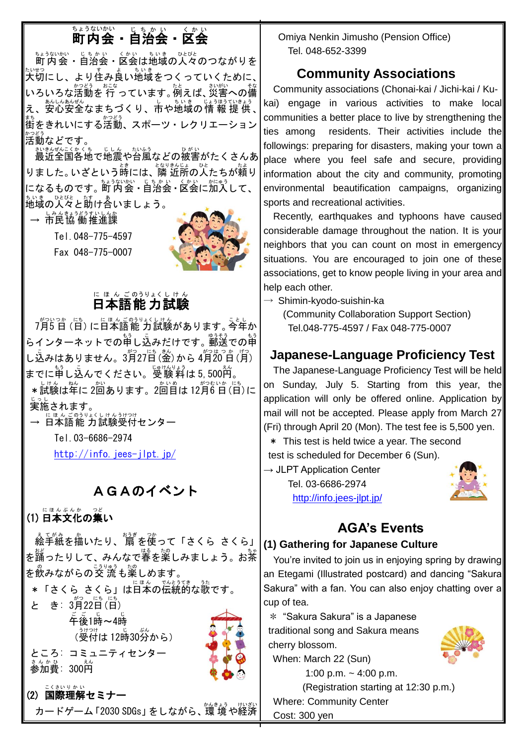# 町内会 ちょうないかい ・自治会 じちかい ・区会 く か い

まょうない。<br>町内会・自治会・区会は地域の人々のつながりを ☆₩っ<br>大切にし、より住み良い地域をつくっていくために、│ いろいろな活動を 行 っています。 例えば、 災害への備 え、安心安全なまちづくり、市や地域の情 報 提 供、 <sub>ま。</sub><br>街をきれいにする活動、スポーツ・レクリエーション 活動 かつどう などです。

<u>おもんこくかくち。しんし</u>かい。<br>最近全国各地で地震や台風などの被害がたくさんあ りました。いざという時には、隣近所の人たちが頼り になるものです。町内会・自治会 • 区会に加入して、 地域 ちいき の人々 ひとびと と助 たす け合 あ いましょう。

→ 市民協 働推進課

Tel.048-775-4597

Fax 048-775-0007



### 日本語 能 力 試験 に ほ ん ごのうりょくし けん

7月5日(日)に日本語能 力試験があります。今年か らインターネットでの中し込みだけです。郵送での申 し込みはありません。3月27日(釜)から4月20日(月) までに申し込んでください。受験料は 5,500的。 \*試験は年に 2回あります。2回首は 12月6日(日)に 実施 じっし されます。

→ 日本語能 力試験受付センター しけん うけつけ

Tel.03-6686-2974

<http://info.jees-jlpt.jp/>

# AGAのイベント

(1) 日本文化の集い にほん ぶんか

Ĩ, ぇ~\*\*ぉ<br>絵手紙を描いたり、 扇 を使って「さくら さくら」 を踊ったりして、みんなで春を楽しみましょう。お茶 。。<br>を飲みながらの交 流 も楽しめます。 \*「さくら さくら」は日本の伝統的な歌です。 と き: 3月22日(日) <sub>ここ じ</sub> じ<br>午後1時~4時 、<sub><sup>うけつけ</sup><br>(受付は 12時30分から)</sub> ところ: コミュニティセンター まんか <u>。</u><br>参加費:300円 (2) 国際 理解 セミナー こくさい りかい

カードゲーム 「2030 SDGs」 をしながら、 環 境 や経済

Omiya Nenkin Jimusho (Pension Office) Tel. 048-652-3399

# **Community Associations**

Community associations (Chonai-kai / Jichi-kai / Kukai) engage in various activities to make local communities a better place to live by strengthening the ties among residents. Their activities include the followings: preparing for disasters, making your town a place where you feel safe and secure, providing information about the city and community, promoting environmental beautification campaigns, organizing sports and recreational activities.

Recently, earthquakes and typhoons have caused considerable damage throughout the nation. It is your neighbors that you can count on most in emergency situations. You are encouraged to join one of these associations, get to know people living in your area and help each other.

 $\rightarrow$  Shimin-kyodo-suishin-ka

 (Community Collaboration Support Section) Tel.048-775-4597 / Fax 048-775-0007

# **Japanese-Language Proficiency Test**

 The Japanese-Language Proficiency Test will be held on Sunday, July 5. Starting from this year, the application will only be offered online. Application by mail will not be accepted. Please apply from March 27 (Fri) through April 20 (Mon). The test fee is 5,500 yen.

\* This test is held twice a year. The second

test is scheduled for December 6 (Sun).

 $\rightarrow$  JLPT Application Center Tel. 03-6686-2974 <http://info.jees-jlpt.jp/>

# **AGA's Events**

### **(1) Gathering for Japanese Culture**

You're invited to join us in enjoying spring by drawing an Etegami (Illustrated postcard) and dancing "Sakura Sakura" with a fan. You can also enjoy chatting over a cup of tea.

\* "Sakura Sakura" is a Japanese traditional song and Sakura means cherry blossom.



When: March 22 (Sun)

1:00 p.m.  $\sim$  4:00 p.m.

(Registration starting at 12:30 p.m.) Where: Community Center Cost: 300 yen